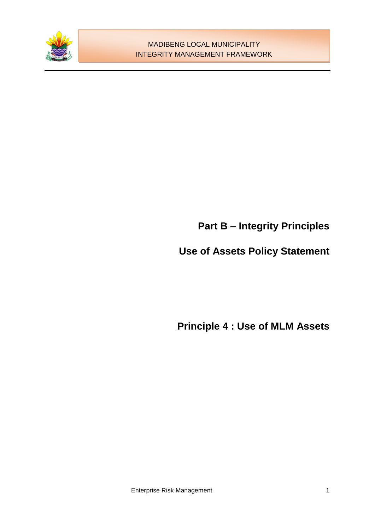

# **Part B – Integrity Principles**

# **Use of Assets Policy Statement**

**Principle 4 : Use of MLM Assets**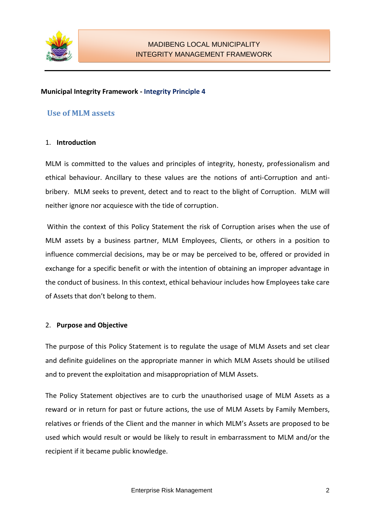

#### **Municipal Integrity Framework - Integrity Principle 4**

## **Use of MLM assets**

#### 1. **Introduction**

MLM is committed to the values and principles of integrity, honesty, professionalism and ethical behaviour. Ancillary to these values are the notions of anti-Corruption and antibribery. MLM seeks to prevent, detect and to react to the blight of Corruption. MLM will neither ignore nor acquiesce with the tide of corruption.

Within the context of this Policy Statement the risk of Corruption arises when the use of MLM assets by a business partner, MLM Employees, Clients, or others in a position to influence commercial decisions, may be or may be perceived to be, offered or provided in exchange for a specific benefit or with the intention of obtaining an improper advantage in the conduct of business. In this context, ethical behaviour includes how Employees take care of Assets that don't belong to them.

## 2. **Purpose and Objective**

The purpose of this Policy Statement is to regulate the usage of MLM Assets and set clear and definite guidelines on the appropriate manner in which MLM Assets should be utilised and to prevent the exploitation and misappropriation of MLM Assets.

The Policy Statement objectives are to curb the unauthorised usage of MLM Assets as a reward or in return for past or future actions, the use of MLM Assets by Family Members, relatives or friends of the Client and the manner in which MLM's Assets are proposed to be used which would result or would be likely to result in embarrassment to MLM and/or the recipient if it became public knowledge.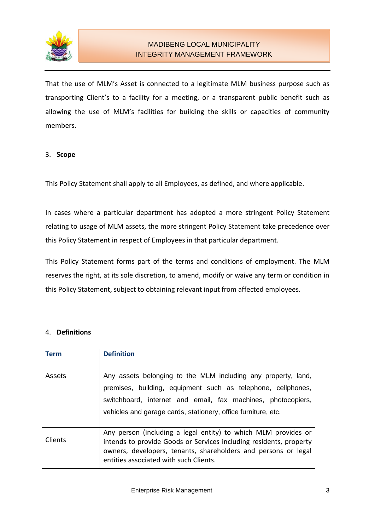

That the use of MLM's Asset is connected to a legitimate MLM business purpose such as transporting Client's to a facility for a meeting, or a transparent public benefit such as allowing the use of MLM's facilities for building the skills or capacities of community members.

#### 3. **Scope**

This Policy Statement shall apply to all Employees, as defined, and where applicable.

In cases where a particular department has adopted a more stringent Policy Statement relating to usage of MLM assets, the more stringent Policy Statement take precedence over this Policy Statement in respect of Employees in that particular department.

This Policy Statement forms part of the terms and conditions of employment. The MLM reserves the right, at its sole discretion, to amend, modify or waive any term or condition in this Policy Statement, subject to obtaining relevant input from affected employees.

#### 4. **Definitions**

| <b>Term</b> | <b>Definition</b>                                                                                                                                                                                                                                              |
|-------------|----------------------------------------------------------------------------------------------------------------------------------------------------------------------------------------------------------------------------------------------------------------|
| Assets      | Any assets belonging to the MLM including any property, land,<br>premises, building, equipment such as telephone, cellphones,<br>switchboard, internet and email, fax machines, photocopiers,<br>vehicles and garage cards, stationery, office furniture, etc. |
| Clients     | Any person (including a legal entity) to which MLM provides or<br>intends to provide Goods or Services including residents, property<br>owners, developers, tenants, shareholders and persons or legal<br>entities associated with such Clients.               |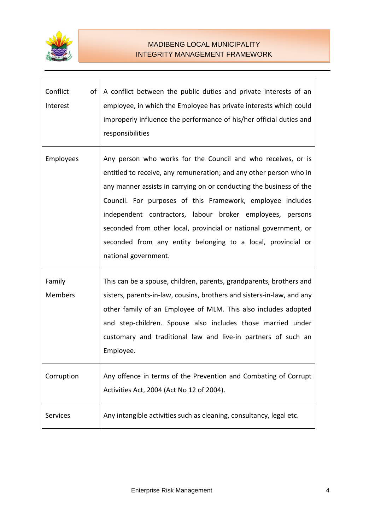

| Conflict<br>of<br>Interest | A conflict between the public duties and private interests of an<br>employee, in which the Employee has private interests which could<br>improperly influence the performance of his/her official duties and<br>responsibilities                                                                                                                                                                                                                                                                 |
|----------------------------|--------------------------------------------------------------------------------------------------------------------------------------------------------------------------------------------------------------------------------------------------------------------------------------------------------------------------------------------------------------------------------------------------------------------------------------------------------------------------------------------------|
| Employees                  | Any person who works for the Council and who receives, or is<br>entitled to receive, any remuneration; and any other person who in<br>any manner assists in carrying on or conducting the business of the<br>Council. For purposes of this Framework, employee includes<br>independent contractors, labour broker employees, persons<br>seconded from other local, provincial or national government, or<br>seconded from any entity belonging to a local, provincial or<br>national government. |
| Family<br>Members          | This can be a spouse, children, parents, grandparents, brothers and<br>sisters, parents-in-law, cousins, brothers and sisters-in-law, and any<br>other family of an Employee of MLM. This also includes adopted<br>and step-children. Spouse also includes those married under<br>customary and traditional law and live-in partners of such an<br>Employee.                                                                                                                                     |
| Corruption                 | Any offence in terms of the Prevention and Combating of Corrupt<br>Activities Act, 2004 (Act No 12 of 2004).                                                                                                                                                                                                                                                                                                                                                                                     |
| <b>Services</b>            | Any intangible activities such as cleaning, consultancy, legal etc.                                                                                                                                                                                                                                                                                                                                                                                                                              |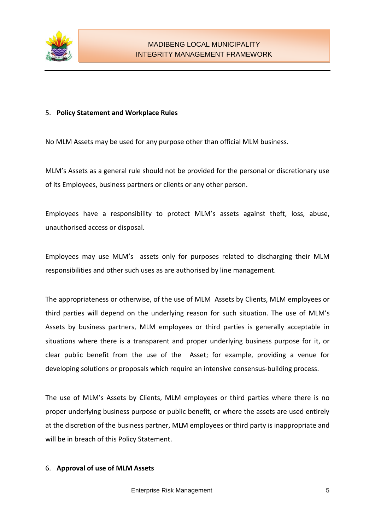

#### 5. **Policy Statement and Workplace Rules**

No MLM Assets may be used for any purpose other than official MLM business.

MLM's Assets as a general rule should not be provided for the personal or discretionary use of its Employees, business partners or clients or any other person.

Employees have a responsibility to protect MLM's assets against theft, loss, abuse, unauthorised access or disposal.

Employees may use MLM's assets only for purposes related to discharging their MLM responsibilities and other such uses as are authorised by line management.

The appropriateness or otherwise, of the use of MLM Assets by Clients, MLM employees or third parties will depend on the underlying reason for such situation. The use of MLM's Assets by business partners, MLM employees or third parties is generally acceptable in situations where there is a transparent and proper underlying business purpose for it, or clear public benefit from the use of the Asset; for example, providing a venue for developing solutions or proposals which require an intensive consensus-building process.

The use of MLM's Assets by Clients, MLM employees or third parties where there is no proper underlying business purpose or public benefit, or where the assets are used entirely at the discretion of the business partner, MLM employees or third party is inappropriate and will be in breach of this Policy Statement.

#### 6. **Approval of use of MLM Assets**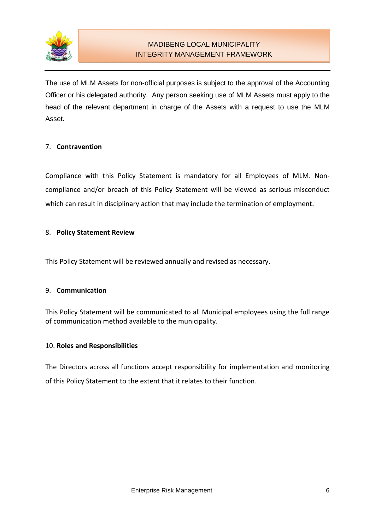

The use of MLM Assets for non-official purposes is subject to the approval of the Accounting Officer or his delegated authority. Any person seeking use of MLM Assets must apply to the head of the relevant department in charge of the Assets with a request to use the MLM Asset.

## 7. **Contravention**

Compliance with this Policy Statement is mandatory for all Employees of MLM. Noncompliance and/or breach of this Policy Statement will be viewed as serious misconduct which can result in disciplinary action that may include the termination of employment.

#### 8. **Policy Statement Review**

This Policy Statement will be reviewed annually and revised as necessary.

#### 9. **Communication**

This Policy Statement will be communicated to all Municipal employees using the full range of communication method available to the municipality.

#### 10. **Roles and Responsibilities**

The Directors across all functions accept responsibility for implementation and monitoring of this Policy Statement to the extent that it relates to their function.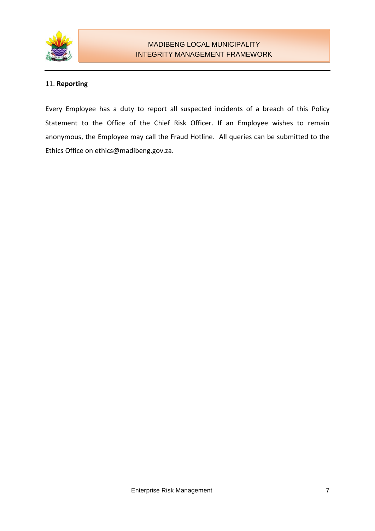

### 11. **Reporting**

Every Employee has a duty to report all suspected incidents of a breach of this Policy Statement to the Office of the Chief Risk Officer. If an Employee wishes to remain anonymous, the Employee may call the Fraud Hotline. All queries can be submitted to the Ethics Office on ethics@madibeng.gov.za.